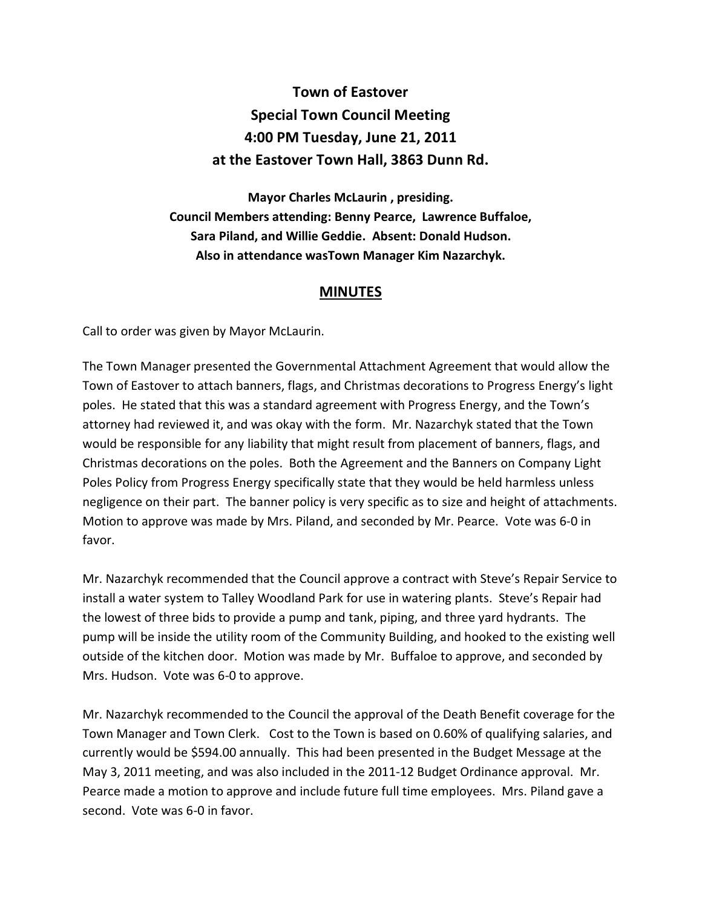## **Town of Eastover Special Town Council Meeting 4:00 PM Tuesday, June 21, 2011 at the Eastover Town Hall, 3863 Dunn Rd.**

**Mayor Charles McLaurin , presiding. Council Members attending: Benny Pearce, Lawrence Buffaloe, Sara Piland, and Willie Geddie. Absent: Donald Hudson. Also in attendance wasTown Manager Kim Nazarchyk.** 

## **MINUTES**

Call to order was given by Mayor McLaurin.

The Town Manager presented the Governmental Attachment Agreement that would allow the Town of Eastover to attach banners, flags, and Christmas decorations to Progress Energy's light poles. He stated that this was a standard agreement with Progress Energy, and the Town's attorney had reviewed it, and was okay with the form. Mr. Nazarchyk stated that the Town would be responsible for any liability that might result from placement of banners, flags, and Christmas decorations on the poles. Both the Agreement and the Banners on Company Light Poles Policy from Progress Energy specifically state that they would be held harmless unless negligence on their part. The banner policy is very specific as to size and height of attachments. Motion to approve was made by Mrs. Piland, and seconded by Mr. Pearce. Vote was 6-0 in favor.

Mr. Nazarchyk recommended that the Council approve a contract with Steve's Repair Service to install a water system to Talley Woodland Park for use in watering plants. Steve's Repair had the lowest of three bids to provide a pump and tank, piping, and three yard hydrants. The pump will be inside the utility room of the Community Building, and hooked to the existing well outside of the kitchen door. Motion was made by Mr. Buffaloe to approve, and seconded by Mrs. Hudson. Vote was 6-0 to approve.

Mr. Nazarchyk recommended to the Council the approval of the Death Benefit coverage for the Town Manager and Town Clerk. Cost to the Town is based on 0.60% of qualifying salaries, and currently would be \$594.00 annually. This had been presented in the Budget Message at the May 3, 2011 meeting, and was also included in the 2011-12 Budget Ordinance approval. Mr. Pearce made a motion to approve and include future full time employees. Mrs. Piland gave a second. Vote was 6-0 in favor.